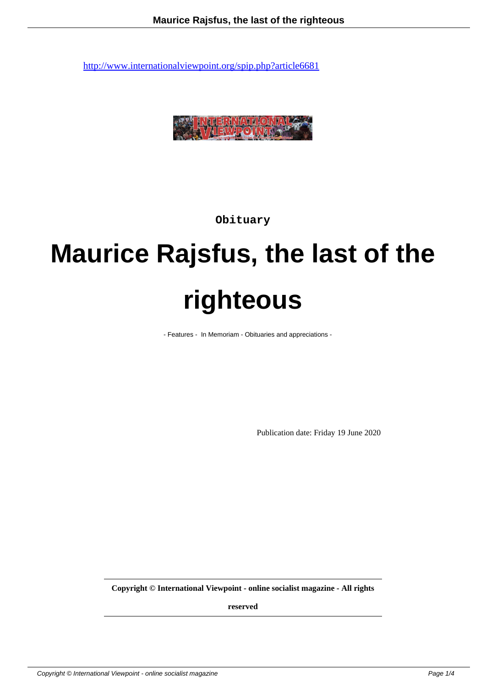

**Obituary**

## **Maurice Rajsfus, the last of the righteous**

- Features - In Memoriam - Obituaries and appreciations -

Publication date: Friday 19 June 2020

**Copyright © International Viewpoint - online socialist magazine - All rights**

**reserved**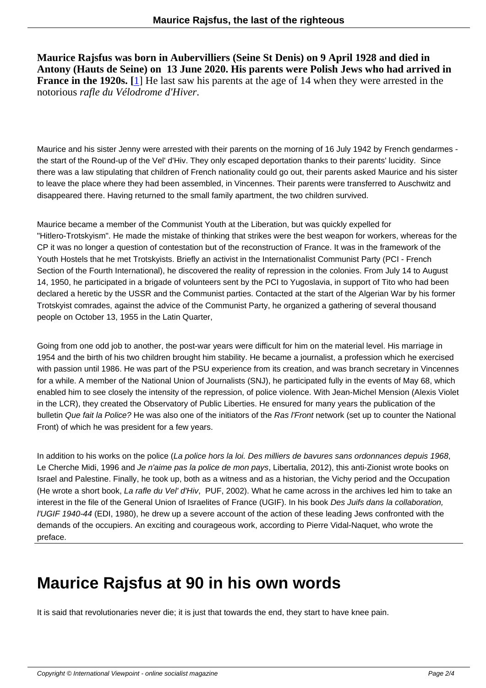**Maurice Rajsfus was born in Aubervilliers (Seine St Denis) on 9 April 1928 and died in Antony (Hauts de Seine) on 13 June 2020. His parents were Polish Jews who had arrived in France in the 1920s.** [1] He last saw his parents at the age of 14 when they were arrested in the notorious *rafle du Vélodrome d'Hiver*.

Maurice and his sister Jenny were arrested with their parents on the morning of 16 July 1942 by French gendarmes the start of the Round-up of the Vel' d'Hiv. They only escaped deportation thanks to their parents' lucidity. Since there was a law stipulating that children of French nationality could go out, their parents asked Maurice and his sister to leave the place where they had been assembled, in Vincennes. Their parents were transferred to Auschwitz and disappeared there. Having returned to the small family apartment, the two children survived.

Maurice became a member of the Communist Youth at the Liberation, but was quickly expelled for "Hitlero-Trotskyism". He made the mistake of thinking that strikes were the best weapon for workers, whereas for the CP it was no longer a question of contestation but of the reconstruction of France. It was in the framework of the Youth Hostels that he met Trotskyists. Briefly an activist in the Internationalist Communist Party (PCI - French Section of the Fourth International), he discovered the reality of repression in the colonies. From July 14 to August 14, 1950, he participated in a brigade of volunteers sent by the PCI to Yugoslavia, in support of Tito who had been declared a heretic by the USSR and the Communist parties. Contacted at the start of the Algerian War by his former Trotskyist comrades, against the advice of the Communist Party, he organized a gathering of several thousand people on October 13, 1955 in the Latin Quarter,

Going from one odd job to another, the post-war years were difficult for him on the material level. His marriage in 1954 and the birth of his two children brought him stability. He became a journalist, a profession which he exercised with passion until 1986. He was part of the PSU experience from its creation, and was branch secretary in Vincennes for a while. A member of the National Union of Journalists (SNJ), he participated fully in the events of May 68, which enabled him to see closely the intensity of the repression, of police violence. With Jean-Michel Mension (Alexis Violet in the LCR), they created the Observatory of Public Liberties. He ensured for many years the publication of the bulletin Que fait la Police? He was also one of the initiators of the Ras l'Front network (set up to counter the National Front) of which he was president for a few years.

In addition to his works on the police (La police hors la loi. Des milliers de bavures sans ordonnances depuis 1968, Le Cherche Midi, 1996 and Je n'aime pas la police de mon pays, Libertalia, 2012), this anti-Zionist wrote books on Israel and Palestine. Finally, he took up, both as a witness and as a historian, the Vichy period and the Occupation (He wrote a short book, La rafle du Vel' d'Hiv, PUF, 2002). What he came across in the archives led him to take an interest in the file of the General Union of Israelites of France (UGIF). In his book Des Juifs dans la collaboration, l'UGIF 1940-44 (EDI, 1980), he drew up a severe account of the action of these leading Jews confronted with the demands of the occupiers. An exciting and courageous work, according to Pierre Vidal-Naquet, who wrote the preface.

## **Maurice Rajsfus at 90 in his own words**

It is said that revolutionaries never die; it is just that towards the end, they start to have knee pain.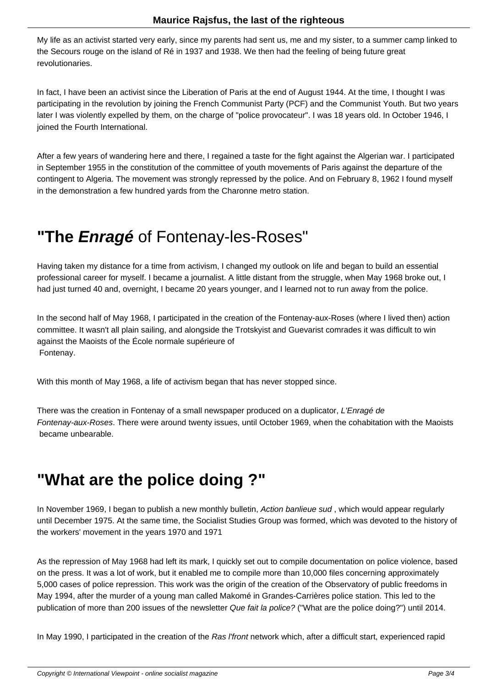My life as an activist started very early, since my parents had sent us, me and my sister, to a summer camp linked to the Secours rouge on the island of Ré in 1937 and 1938. We then had the feeling of being future great revolutionaries.

In fact, I have been an activist since the Liberation of Paris at the end of August 1944. At the time, I thought I was participating in the revolution by joining the French Communist Party (PCF) and the Communist Youth. But two years later I was violently expelled by them, on the charge of "police provocateur". I was 18 years old. In October 1946, I joined the Fourth International.

After a few years of wandering here and there, I regained a taste for the fight against the Algerian war. I participated in September 1955 in the constitution of the committee of youth movements of Paris against the departure of the contingent to Algeria. The movement was strongly repressed by the police. And on February 8, 1962 I found myself in the demonstration a few hundred yards from the Charonne metro station.

## **"The Enragé** of Fontenay-les-Roses"

Having taken my distance for a time from activism, I changed my outlook on life and began to build an essential professional career for myself. I became a journalist. A little distant from the struggle, when May 1968 broke out, I had just turned 40 and, overnight, I became 20 years younger, and I learned not to run away from the police.

In the second half of May 1968, I participated in the creation of the Fontenay-aux-Roses (where I lived then) action committee. It wasn't all plain sailing, and alongside the Trotskyist and Guevarist comrades it was difficult to win against the Maoists of the École normale supérieure of Fontenay.

With this month of May 1968, a life of activism began that has never stopped since.

There was the creation in Fontenay of a small newspaper produced on a duplicator, L'Enragé de Fontenay-aux-Roses. There were around twenty issues, until October 1969, when the cohabitation with the Maoists became unbearable.

## **"What are the police doing ?"**

In November 1969, I began to publish a new monthly bulletin, Action banlieue sud, which would appear regularly until December 1975. At the same time, the Socialist Studies Group was formed, which was devoted to the history of the workers' movement in the years 1970 and 1971

As the repression of May 1968 had left its mark, I quickly set out to compile documentation on police violence, based on the press. It was a lot of work, but it enabled me to compile more than 10,000 files concerning approximately 5,000 cases of police repression. This work was the origin of the creation of the Observatory of public freedoms in May 1994, after the murder of a young man called Makomé in Grandes-Carrières police station. This led to the publication of more than 200 issues of the newsletter Que fait la police? ("What are the police doing?") until 2014.

In May 1990, I participated in the creation of the Ras I'front network which, after a difficult start, experienced rapid